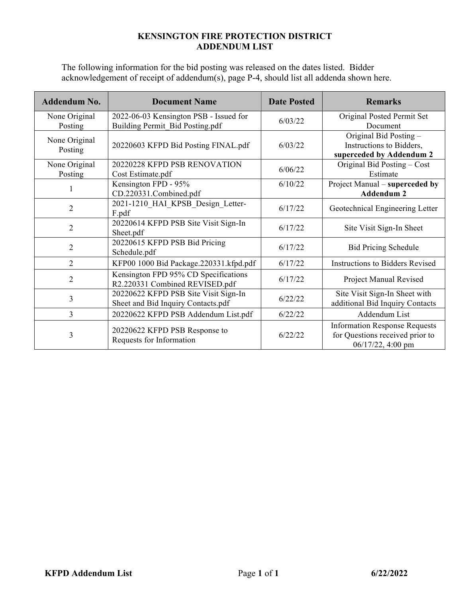## **KENSINGTON FIRE PROTECTION DISTRICT ADDENDUM LIST**

The following information for the bid posting was released on the dates listed. Bidder acknowledgement of receipt of addendum(s), page P-4, should list all addenda shown here.

| <b>Addendum No.</b>         | <b>Document Name</b>                                                       | <b>Date Posted</b> | <b>Remarks</b>                                                                               |
|-----------------------------|----------------------------------------------------------------------------|--------------------|----------------------------------------------------------------------------------------------|
| None Original<br>Posting    | 2022-06-03 Kensington PSB - Issued for<br>Building Permit Bid Posting.pdf  | 6/03/22            | Original Posted Permit Set<br>Document                                                       |
| None Original<br>Posting    | 20220603 KFPD Bid Posting FINAL.pdf                                        | 6/03/22            | Original Bid Posting -<br>Instructions to Bidders,<br>superceded by Addendum 2               |
| None Original<br>Posting    | 20220228 KFPD PSB RENOVATION<br>Cost Estimate.pdf                          | 6/06/22            | Original Bid Posting – Cost<br>Estimate                                                      |
|                             | Kensington FPD - 95%<br>CD.220331.Combined.pdf                             | 6/10/22            | Project Manual - superceded by<br><b>Addendum 2</b>                                          |
| $\overline{2}$              | 2021-1210 HAI KPSB Design Letter-<br>F.pdf                                 | 6/17/22            | Geotechnical Engineering Letter                                                              |
| 2                           | 20220614 KFPD PSB Site Visit Sign-In<br>Sheet.pdf                          | 6/17/22            | Site Visit Sign-In Sheet                                                                     |
| $\overline{2}$              | 20220615 KFPD PSB Bid Pricing<br>Schedule.pdf                              | 6/17/22            | <b>Bid Pricing Schedule</b>                                                                  |
| $\mathcal{D}_{\mathcal{L}}$ | KFP00 1000 Bid Package.220331.kfpd.pdf                                     | 6/17/22            | <b>Instructions to Bidders Revised</b>                                                       |
| $\overline{2}$              | Kensington FPD 95% CD Specifications<br>R2.220331 Combined REVISED.pdf     | 6/17/22            | Project Manual Revised                                                                       |
| 3                           | 20220622 KFPD PSB Site Visit Sign-In<br>Sheet and Bid Inquiry Contacts.pdf | 6/22/22            | Site Visit Sign-In Sheet with<br>additional Bid Inquiry Contacts                             |
| $\overline{3}$              | 20220622 KFPD PSB Addendum List.pdf                                        | 6/22/22            | Addendum List                                                                                |
| 3                           | 20220622 KFPD PSB Response to<br>Requests for Information                  | 6/22/22            | <b>Information Response Requests</b><br>for Questions received prior to<br>06/17/22, 4:00 pm |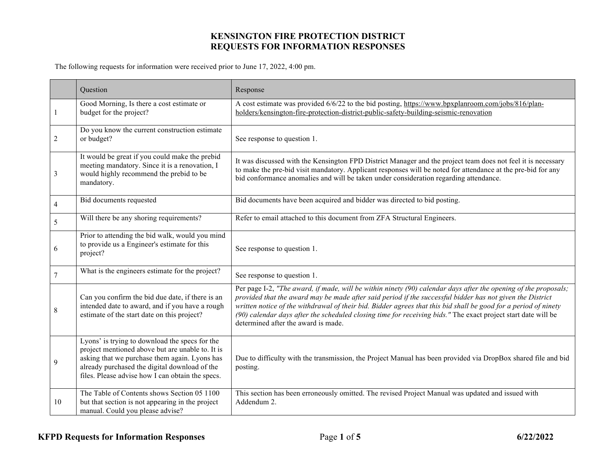The following requests for information were received prior to June 17, 2022, 4:00 pm.

|    | Question                                                                                                                                                                                                                                                 | Response                                                                                                                                                                                                                                                                                                                                                                                                                                                                                                |
|----|----------------------------------------------------------------------------------------------------------------------------------------------------------------------------------------------------------------------------------------------------------|---------------------------------------------------------------------------------------------------------------------------------------------------------------------------------------------------------------------------------------------------------------------------------------------------------------------------------------------------------------------------------------------------------------------------------------------------------------------------------------------------------|
|    | Good Morning, Is there a cost estimate or<br>budget for the project?                                                                                                                                                                                     | A cost estimate was provided 6/6/22 to the bid posting, https://www.bpxplanroom.com/jobs/816/plan-<br>holders/kensington-fire-protection-district-public-safety-building-seismic-renovation                                                                                                                                                                                                                                                                                                             |
| 2  | Do you know the current construction estimate<br>or budget?                                                                                                                                                                                              | See response to question 1.                                                                                                                                                                                                                                                                                                                                                                                                                                                                             |
| 3  | It would be great if you could make the prebid<br>meeting mandatory. Since it is a renovation, I<br>would highly recommend the prebid to be<br>mandatory.                                                                                                | It was discussed with the Kensington FPD District Manager and the project team does not feel it is necessary<br>to make the pre-bid visit mandatory. Applicant responses will be noted for attendance at the pre-bid for any<br>bid conformance anomalies and will be taken under consideration regarding attendance.                                                                                                                                                                                   |
| 4  | Bid documents requested                                                                                                                                                                                                                                  | Bid documents have been acquired and bidder was directed to bid posting.                                                                                                                                                                                                                                                                                                                                                                                                                                |
| 5  | Will there be any shoring requirements?                                                                                                                                                                                                                  | Refer to email attached to this document from ZFA Structural Engineers.                                                                                                                                                                                                                                                                                                                                                                                                                                 |
| 6  | Prior to attending the bid walk, would you mind<br>to provide us a Engineer's estimate for this<br>project?                                                                                                                                              | See response to question 1.                                                                                                                                                                                                                                                                                                                                                                                                                                                                             |
| 7  | What is the engineers estimate for the project?                                                                                                                                                                                                          | See response to question 1.                                                                                                                                                                                                                                                                                                                                                                                                                                                                             |
| 8  | Can you confirm the bid due date, if there is an<br>intended date to award, and if you have a rough<br>estimate of the start date on this project?                                                                                                       | Per page I-2, "The award, if made, will be within ninety (90) calendar days after the opening of the proposals;<br>provided that the award may be made after said period if the successful bidder has not given the District<br>written notice of the withdrawal of their bid. Bidder agrees that this bid shall be good for a period of ninety<br>(90) calendar days after the scheduled closing time for receiving bids." The exact project start date will be<br>determined after the award is made. |
| 9  | Lyons' is trying to download the specs for the<br>project mentioned above but are unable to. It is<br>asking that we purchase them again. Lyons has<br>already purchased the digital download of the<br>files. Please advise how I can obtain the specs. | Due to difficulty with the transmission, the Project Manual has been provided via DropBox shared file and bid<br>posting.                                                                                                                                                                                                                                                                                                                                                                               |
| 10 | The Table of Contents shows Section 05 1100<br>but that section is not appearing in the project<br>manual. Could you please advise?                                                                                                                      | This section has been erroneously omitted. The revised Project Manual was updated and issued with<br>Addendum 2.                                                                                                                                                                                                                                                                                                                                                                                        |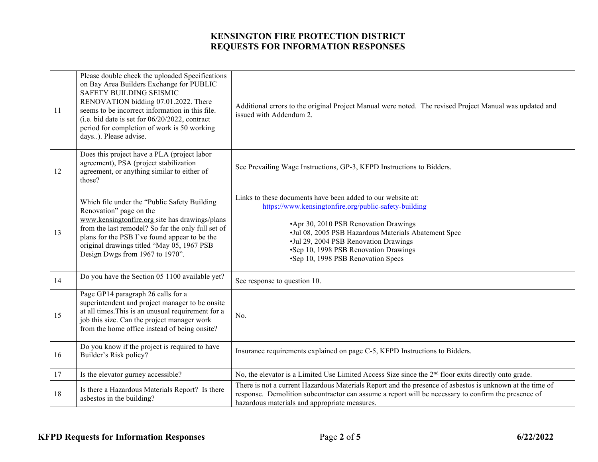| 11 | Please double check the uploaded Specifications<br>on Bay Area Builders Exchange for PUBLIC<br><b>SAFETY BUILDING SEISMIC</b><br>RENOVATION bidding 07.01.2022. There<br>seems to be incorrect information in this file.<br>(i.e. bid date is set for $06/20/2022$ , contract<br>period for completion of work is 50 working<br>days). Please advise. | Additional errors to the original Project Manual were noted. The revised Project Manual was updated and<br>issued with Addendum 2.                                                                                                                                                                                                            |
|----|-------------------------------------------------------------------------------------------------------------------------------------------------------------------------------------------------------------------------------------------------------------------------------------------------------------------------------------------------------|-----------------------------------------------------------------------------------------------------------------------------------------------------------------------------------------------------------------------------------------------------------------------------------------------------------------------------------------------|
| 12 | Does this project have a PLA (project labor<br>agreement), PSA (project stabilization<br>agreement, or anything similar to either of<br>those?                                                                                                                                                                                                        | See Prevailing Wage Instructions, GP-3, KFPD Instructions to Bidders.                                                                                                                                                                                                                                                                         |
| 13 | Which file under the "Public Safety Building<br>Renovation" page on the<br>www.kensingtonfire.org site has drawings/plans<br>from the last remodel? So far the only full set of<br>plans for the PSB I've found appear to be the<br>original drawings titled "May 05, 1967 PSB<br>Design Dwgs from 1967 to 1970".                                     | Links to these documents have been added to our website at:<br>https://www.kensingtonfire.org/public-safety-building<br>•Apr 30, 2010 PSB Renovation Drawings<br>•Jul 08, 2005 PSB Hazardous Materials Abatement Spec<br>•Jul 29, 2004 PSB Renovation Drawings<br>•Sep 10, 1998 PSB Renovation Drawings<br>•Sep 10, 1998 PSB Renovation Specs |
| 14 | Do you have the Section 05 1100 available yet?                                                                                                                                                                                                                                                                                                        | See response to question 10.                                                                                                                                                                                                                                                                                                                  |
| 15 | Page GP14 paragraph 26 calls for a<br>superintendent and project manager to be onsite<br>at all times. This is an unusual requirement for a<br>job this size. Can the project manager work<br>from the home office instead of being onsite?                                                                                                           | No.                                                                                                                                                                                                                                                                                                                                           |
| 16 | Do you know if the project is required to have<br>Builder's Risk policy?                                                                                                                                                                                                                                                                              | Insurance requirements explained on page C-5, KFPD Instructions to Bidders.                                                                                                                                                                                                                                                                   |
| 17 | Is the elevator gurney accessible?                                                                                                                                                                                                                                                                                                                    | No, the elevator is a Limited Use Limited Access Size since the 2 <sup>nd</sup> floor exits directly onto grade.                                                                                                                                                                                                                              |
| 18 | Is there a Hazardous Materials Report? Is there<br>asbestos in the building?                                                                                                                                                                                                                                                                          | There is not a current Hazardous Materials Report and the presence of asbestos is unknown at the time of<br>response. Demolition subcontractor can assume a report will be necessary to confirm the presence of<br>hazardous materials and appropriate measures.                                                                              |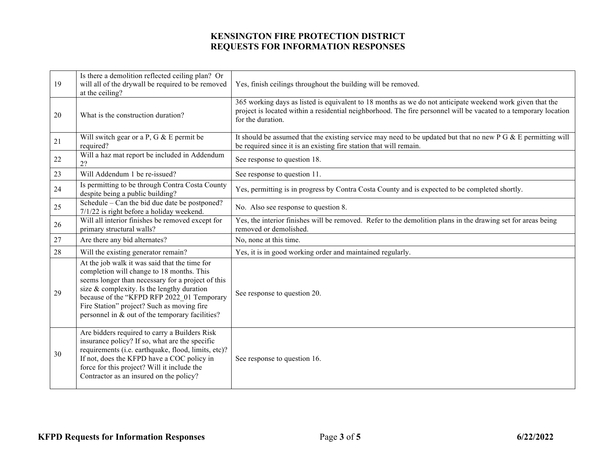| 19 | Is there a demolition reflected ceiling plan? Or<br>will all of the drywall be required to be removed<br>at the ceiling?                                                                                                                                                                                                                     | Yes, finish ceilings throughout the building will be removed.                                                                                                                                                                                      |
|----|----------------------------------------------------------------------------------------------------------------------------------------------------------------------------------------------------------------------------------------------------------------------------------------------------------------------------------------------|----------------------------------------------------------------------------------------------------------------------------------------------------------------------------------------------------------------------------------------------------|
| 20 | What is the construction duration?                                                                                                                                                                                                                                                                                                           | 365 working days as listed is equivalent to 18 months as we do not anticipate weekend work given that the<br>project is located within a residential neighborhood. The fire personnel will be vacated to a temporary location<br>for the duration. |
| 21 | Will switch gear or a P, G & E permit be<br>required?                                                                                                                                                                                                                                                                                        | It should be assumed that the existing service may need to be updated but that no new $P G & E$ permitting will<br>be required since it is an existing fire station that will remain.                                                              |
| 22 | Will a haz mat report be included in Addendum<br>22                                                                                                                                                                                                                                                                                          | See response to question 18.                                                                                                                                                                                                                       |
| 23 | Will Addendum 1 be re-issued?                                                                                                                                                                                                                                                                                                                | See response to question 11.                                                                                                                                                                                                                       |
| 24 | Is permitting to be through Contra Costa County<br>despite being a public building?                                                                                                                                                                                                                                                          | Yes, permitting is in progress by Contra Costa County and is expected to be completed shortly.                                                                                                                                                     |
| 25 | Schedule – Can the bid due date be postponed?<br>7/1/22 is right before a holiday weekend.                                                                                                                                                                                                                                                   | No. Also see response to question 8.                                                                                                                                                                                                               |
| 26 | Will all interior finishes be removed except for<br>primary structural walls?                                                                                                                                                                                                                                                                | Yes, the interior finishes will be removed. Refer to the demolition plans in the drawing set for areas being<br>removed or demolished.                                                                                                             |
| 27 | Are there any bid alternates?                                                                                                                                                                                                                                                                                                                | No, none at this time.                                                                                                                                                                                                                             |
| 28 | Will the existing generator remain?                                                                                                                                                                                                                                                                                                          | Yes, it is in good working order and maintained regularly.                                                                                                                                                                                         |
| 29 | At the job walk it was said that the time for<br>completion will change to 18 months. This<br>seems longer than necessary for a project of this<br>size & complexity. Is the lengthy duration<br>because of the "KFPD RFP 2022 01 Temporary<br>Fire Station" project? Such as moving fire<br>personnel in & out of the temporary facilities? | See response to question 20.                                                                                                                                                                                                                       |
| 30 | Are bidders required to carry a Builders Risk<br>insurance policy? If so, what are the specific<br>requirements (i.e. earthquake, flood, limits, etc)?<br>If not, does the KFPD have a COC policy in<br>force for this project? Will it include the<br>Contractor as an insured on the policy?                                               | See response to question 16.                                                                                                                                                                                                                       |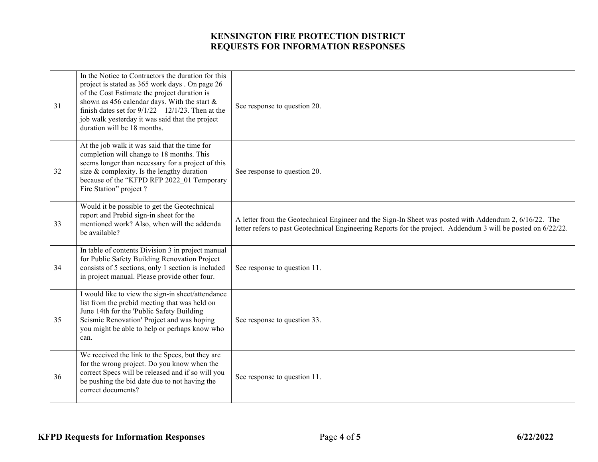| 31 | In the Notice to Contractors the duration for this<br>project is stated as 365 work days. On page 26<br>of the Cost Estimate the project duration is<br>shown as 456 calendar days. With the start &<br>finish dates set for $9/1/22 - 12/1/23$ . Then at the<br>job walk yesterday it was said that the project<br>duration will be 18 months. | See response to question 20.                                                                                                                                                                                            |
|----|-------------------------------------------------------------------------------------------------------------------------------------------------------------------------------------------------------------------------------------------------------------------------------------------------------------------------------------------------|-------------------------------------------------------------------------------------------------------------------------------------------------------------------------------------------------------------------------|
| 32 | At the job walk it was said that the time for<br>completion will change to 18 months. This<br>seems longer than necessary for a project of this<br>size & complexity. Is the lengthy duration<br>because of the "KFPD RFP 2022 01 Temporary<br>Fire Station" project?                                                                           | See response to question 20.                                                                                                                                                                                            |
| 33 | Would it be possible to get the Geotechnical<br>report and Prebid sign-in sheet for the<br>mentioned work? Also, when will the addenda<br>be available?                                                                                                                                                                                         | A letter from the Geotechnical Engineer and the Sign-In Sheet was posted with Addendum 2, 6/16/22. The<br>letter refers to past Geotechnical Engineering Reports for the project. Addendum 3 will be posted on 6/22/22. |
| 34 | In table of contents Division 3 in project manual<br>for Public Safety Building Renovation Project<br>consists of 5 sections, only 1 section is included<br>in project manual. Please provide other four.                                                                                                                                       | See response to question 11.                                                                                                                                                                                            |
| 35 | I would like to view the sign-in sheet/attendance<br>list from the prebid meeting that was held on<br>June 14th for the 'Public Safety Building<br>Seismic Renovation' Project and was hoping<br>you might be able to help or perhaps know who<br>can.                                                                                          | See response to question 33.                                                                                                                                                                                            |
| 36 | We received the link to the Specs, but they are<br>for the wrong project. Do you know when the<br>correct Specs will be released and if so will you<br>be pushing the bid date due to not having the<br>correct documents?                                                                                                                      | See response to question 11.                                                                                                                                                                                            |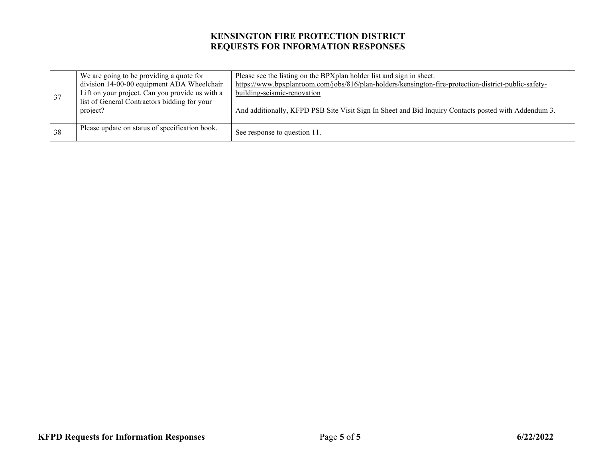| 37 | We are going to be providing a quote for<br>division 14-00-00 equipment ADA Wheelchair<br>Lift on your project. Can you provide us with a<br>list of General Contractors bidding for your<br>project? | Please see the listing on the BPX plan holder list and sign in sheet:<br>https://www.bpxplanroom.com/jobs/816/plan-holders/kensington-fire-protection-district-public-safety-<br><u>building-seismic-renovation</u><br>And additionally, KFPD PSB Site Visit Sign In Sheet and Bid Inquiry Contacts posted with Addendum 3. |
|----|-------------------------------------------------------------------------------------------------------------------------------------------------------------------------------------------------------|-----------------------------------------------------------------------------------------------------------------------------------------------------------------------------------------------------------------------------------------------------------------------------------------------------------------------------|
| 38 | Please update on status of specification book.                                                                                                                                                        | See response to question 11.                                                                                                                                                                                                                                                                                                |